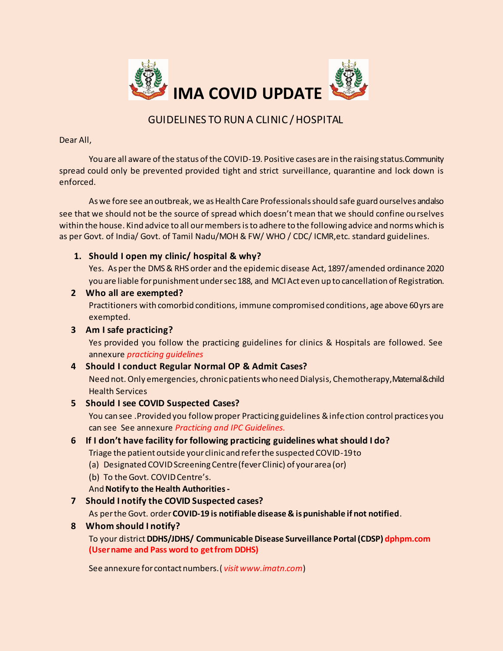

# GUIDELINES TO RUN A CLINIC / HOSPITAL

Dear All,

You are all aware of the status of the COVID-19. Positive cases are in the raising status. Community spread could only be prevented provided tight and strict surveillance, quarantine and lock down is enforced.

As we fore see an outbreak, we as Health Care Professionals should safe guard ourselves and also see that we should not be the source of spread which doesn't mean that we should confine ourselves within the house. Kind advice to all our members is to adhere to the following advice and norms which is as per Govt. of India/ Govt. of Tamil Nadu/MOH & FW/ WHO / CDC/ ICMR,etc. standard guidelines.

# **1. Should I open my clinic/ hospital & why?**

Yes. As per the DMS & RHS order and the epidemic disease Act, 1897/amended ordinance 2020 you are liable for punishment under sec 188, and MCI Act even up to cancellation of Registration.

## **2 Who all are exempted?**

Practitioners with comorbid conditions, immune compromised conditions, age above 60 yrs are exempted.

# **3 Am I safe practicing?**

Yes provided you follow the practicing guidelines for clinics & Hospitals are followed. See annexure *practicing guidelines*

# **4 Should I conduct Regular Normal OP & Admit Cases?**

Need not. Only emergencies, chronic patients who need Dialysis, Chemotherapy, Maternal & child Health Services

# **5 Should I see COVID Suspected Cases?**

You can see .Provided you follow proper Practicing guidelines & infection control practices you can see See annexure *Practicing and IPC Guidelines.*

# **6 If I don't have facility for following practicing guidelines what should I do?**

Triage the patient outside your clinic and refer the suspected COVID-19 to

- (a) Designated COVID Screening Centre (fever Clinic) of your area (or)
- (b) To the Govt. COVID Centre's.
- And **Notify to the Health Authorities-**

# **7 Should I notify the COVID Suspected cases?**

As per the Govt. order **COVID-19 is notifiable disease & is punishable if not notified**.

# **8 Whom should I notify?**

To your district **DDHS/JDHS/ Communicable Disease Surveillance Portal (CDSP) dphpm.com (User name and Pass word to get from DDHS)**

See annexure for contact numbers.( *visit www.imatn.com*)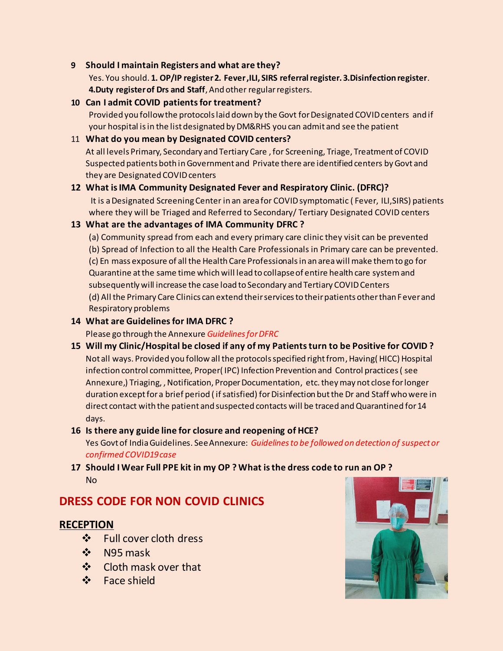## **9 Should I maintain Registers and what are they?**

Yes. You should. **1. OP/IP register 2. Fever ,ILI, SIRS referral register. 3.Disinfection register**. **4.Duty register of Drs and Staff**, And other regular registers.

# **10 Can I admit COVID patients for treatment?**

Provided you follow the protocols laid down by the Govt for Designated COVID centers and if your hospital is in the list designated by DM&RHS you can admit and see the patient

## 11 **What do you mean by Designated COVID centers?**

At all levels Primary, Secondary and Tertiary Care , for Screening, Triage, Treatment of COVID Suspected patients both in Government and Private there are identified centers by Govt and they are Designated COVID centers

## **12 What is IMA Community Designated Fever and Respiratory Clinic. (DFRC)?**

It is a Designated Screening Center in an area for COVID symptomatic ( Fever, ILI,SIRS) patients where they will be Triaged and Referred to Secondary/ Tertiary Designated COVID centers

## **13 What are the advantages of IMA Community DFRC ?**

(a) Community spread from each and every primary care clinic they visit can be prevented (b) Spread of Infection to all the Health Care Professionals in Primary care can be prevented. (c) En mass exposure of all the Health Care Professionals in an area will make them to go for Quarantine at the same time which will lead to collapse of entire health care system and subsequently will increase the case load to Secondary and Tertiary COVID Centers (d) All the Primary Care Clinics can extend their services to their patients other than Fever and Respiratory problems

# **14 What are Guidelinesfor IMA DFRC ?**

Please go through the Annexure *Guidelines for DFRC*

**15 Will my Clinic/Hospital be closed if any of my Patients turn to be Positive for COVID ?** Not all ways. Provided you follow all the protocols specified right from, Having( HICC) Hospital infection control committee, Proper( IPC) Infection Prevention and Control practices ( see Annexure,) Triaging, , Notification, Proper Documentation, etc. they may not close for longer duration except for a brief period ( if satisfied) for Disinfection but the Dr and Staff who were in direct contact with the patient and suspected contacts will be traced and Quarantined for 14 days.

### **16 Is there any guide line for closure and reopening of HCE?**

Yes Govt of India Guidelines. See Annexure: *Guidelines to be followed on detection of suspect or confirmed COVID19 case*

# **17 Should I Wear Full PPE kit in my OP ? What is the dress code to run an OP ?**  No

# **DRESS CODE FOR NON COVID CLINICS**

# **RECEPTION**

- ❖ Full cover cloth dress
- $\div$  N95 mask
- ❖ Cloth mask over that
- ❖ Face shield

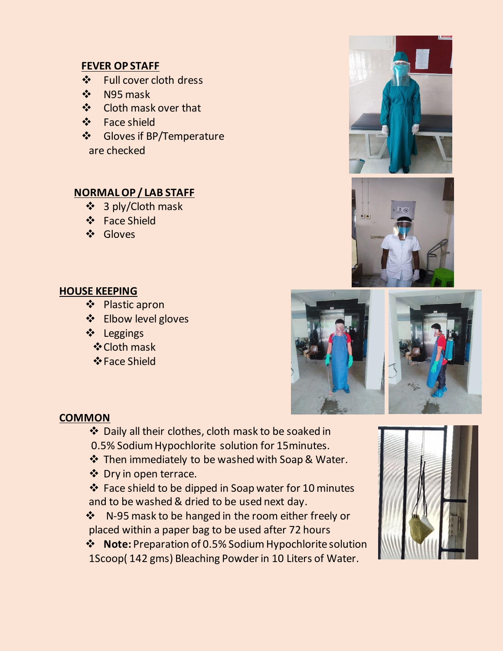# **FEVER OP STAFF**

- ❖ Full cover cloth dress
- $\div$  N95 mask
- ❖ Cloth mask over that
- ❖ Face shield
- Gloves if BP/Temperature are checked

# **NORMAL OP / LAB STAFF**

- 3 ply/Cloth mask
- Face Shield
- Gloves

# **HOUSE KEEPING**

- Plastic apron
- ❖ Elbow level gloves
- Leggings
	- **❖ Cloth mask**
	- **Face Shield**







# **COMMON**

- Daily all their clothes, cloth mask to be soaked in
- 0.5% Sodium Hypochlorite solution for 15minutes.
- Then immediately to be washed with Soap & Water.
- ❖ Dry in open terrace.

 Face shield to be dipped in Soap water for 10 minutes and to be washed & dried to be used next day.

❖ N-95 mask to be hanged in the room either freely or placed within a paper bag to be used after 72 hours

 **Note:** Preparation of 0.5% Sodium Hypochlorite solution 1Scoop( 142 gms) Bleaching Powder in 10 Liters of Water.

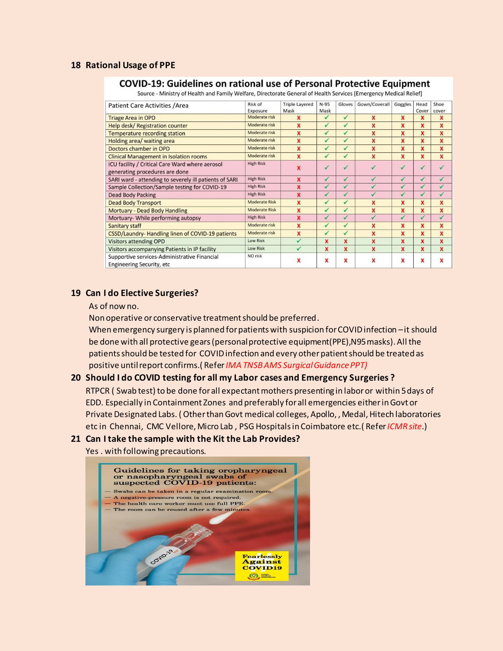### **18 Rational Usage of PPE**

#### **COVID-19: Guidelines on rational use of Personal Protective Equipment**

Source - Ministry of Health and Family Welfare, Directorate General of Health Services [Emergency Medical Relief]

| Patient Care Activities / Area                         | Risk of              | <b>Triple Layered</b>   | $N-95$                   | Gloves       | Gown/Coverall | Goggles      | Head      | Shoe         |
|--------------------------------------------------------|----------------------|-------------------------|--------------------------|--------------|---------------|--------------|-----------|--------------|
|                                                        | Exposure             | Mask                    | Mask                     |              |               |              | Cover     | cover        |
| <b>Triage Area in OPD</b>                              | Moderate risk        | x                       | ✓                        | $\checkmark$ | X             | X            | x         | X            |
| <b>Help desk/ Registration counter</b>                 | Moderate risk        | X                       | $\overline{\mathcal{L}}$ | $\checkmark$ | x             | x            | x         | $\mathbf x$  |
| Temperature recording station                          | Moderate risk        | X                       | $\checkmark$             | $\checkmark$ | X             | X            | X         | X            |
| Holding area/ waiting area                             | Moderate risk        | X                       | $\checkmark$             | $\checkmark$ | x             | x            | X         | X            |
| Doctors chamber in OPD                                 | Moderate risk        | $\mathbf x$             | $\checkmark$             | $\checkmark$ | $\mathbf x$   | X            | X         | X            |
| <b>Clinical Management in Isolation rooms</b>          | Moderate risk        | $\overline{\mathbf{x}}$ | ✓                        | ✓            | X             | X            | X         | $\mathbf{x}$ |
| ICU facility / Critical Care Ward where aerosol        | <b>High Risk</b>     | x                       | $\sqrt{2}$               | $\sqrt{ }$   |               | $\sqrt{2}$   | $\sqrt{}$ |              |
| generating procedures are done                         |                      |                         |                          |              |               |              |           |              |
| SARI ward - attending to severely ill patients of SARI | <b>High Risk</b>     | x                       | $\checkmark$             | ✓            | $\sqrt{2}$    | ✓            | ✓         | ✓            |
| Sample Collection/Sample testing for COVID-19          | <b>High Risk</b>     | ×                       | ✓                        | ✓            | ✓             | ✓            | ✓         | $\checkmark$ |
| <b>Dead Body Packing</b>                               | <b>High Risk</b>     | x                       | $\checkmark$             | $\checkmark$ | $\checkmark$  | $\checkmark$ | ✓         | ✓            |
| <b>Dead Body Transport</b>                             | <b>Moderate Risk</b> | X                       | $\checkmark$             | ✓            | X             | x            | x         | X            |
| <b>Mortuary - Dead Body Handling</b>                   | <b>Moderate Risk</b> | X                       | ✓                        | $\checkmark$ | X             | x            | X         | X            |
| Mortuary- While performing autopsy                     | <b>High Risk</b>     | x                       | $\checkmark$             | $\sqrt{}$    | $\sqrt{2}$    | $\sqrt{2}$   | ✓         | ✓            |
| Sanitary staff                                         | Moderate risk        | x                       | ✓                        | ✓            | X             | X            | X         | X            |
| CSSD/Laundry-Handling linen of COVID-19 patients       | Moderate risk        | X                       | $\checkmark$             | $\checkmark$ | X             | X            | x         | X            |
| <b>Visitors attending OPD</b>                          | <b>Low Risk</b>      |                         | x                        | x            | X             | X            | x         | $\mathbf x$  |
| <b>Visitors accompanying Patients in IP facility</b>   | <b>Low Risk</b>      | $\checkmark$            | $\mathbf x$              | X            | X             | x            | x         | X            |
| Supportive services-Administrative Financial           | NO risk              | x                       | x                        |              | x             | X            | X         | X            |
| <b>Engineering Security, etc.</b>                      |                      |                         |                          | X            |               |              |           |              |

#### **19 Can I do Elective Surgeries?**

As of now no.

Non operative or conservative treatment should be preferred.

When emergency surgery is planned for patients with suspicion for COVID infection – it should be done with all protective gears (personal protective equipment(PPE),N95 masks). All the patients should be tested for COVID infection and every other patient should be treated as positive until report confirms.( Refer *IMA TNSB AMS Surgical Guidance PPT)*

### **20 Should I do COVID testing for all my Labor cases and Emergency Surgeries ?**

RTPCR ( Swab test) to be done for all expectant mothers presenting in labor or within 5 days of EDD. Especially in Containment Zones and preferably for all emergencies either in Govt or Private Designated Labs. ( Other than Govt medical colleges, Apollo, , Medal, Hitech laboratories etc in Chennai, CMC Vellore, Micro Lab , PSG Hospitals in Coimbatore etc.( Refer *ICMR site*.)

### **21 Can I take the sample with the Kit the Lab Provides?**

Yes . with following precautions.